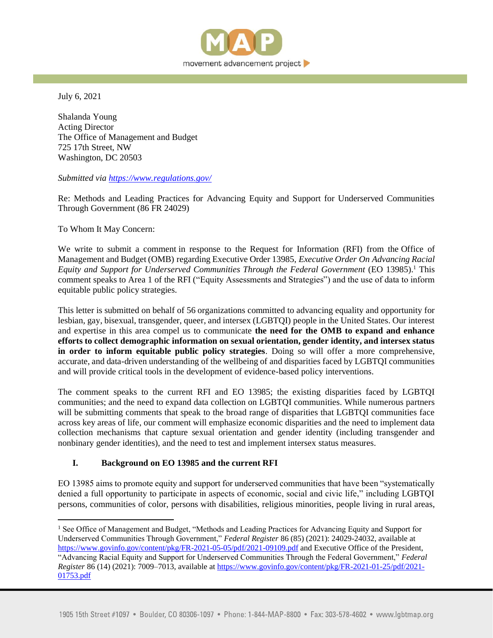

July 6, 2021

Shalanda Young Acting Director The Office of Management and Budget 725 17th Street, NW Washington, DC 20503

#### *Submitted via<https://www.regulations.gov/>*

Re: Methods and Leading Practices for Advancing Equity and Support for Underserved Communities Through Government (86 FR 24029)

To Whom It May Concern:

We write to submit a comment in response to the Request for Information (RFI) from the Office of Management and Budget (OMB) regarding Executive Order 13985, *Executive Order On Advancing Racial Equity and Support for Underserved Communities Through the Federal Government* (EO 13985).<sup>1</sup> This comment speaks to Area 1 of the RFI ("Equity Assessments and Strategies") and the use of data to inform equitable public policy strategies.

This letter is submitted on behalf of 56 organizations committed to advancing equality and opportunity for lesbian, gay, bisexual, transgender, queer, and intersex (LGBTQI) people in the United States. Our interest and expertise in this area compel us to communicate **the need for the OMB to expand and enhance efforts to collect demographic information on sexual orientation, gender identity, and intersex status in order to inform equitable public policy strategies**. Doing so will offer a more comprehensive, accurate, and data-driven understanding of the wellbeing of and disparities faced by LGBTQI communities and will provide critical tools in the development of evidence-based policy interventions.

The comment speaks to the current RFI and EO 13985; the existing disparities faced by LGBTQI communities; and the need to expand data collection on LGBTQI communities. While numerous partners will be submitting comments that speak to the broad range of disparities that LGBTQI communities face across key areas of life, our comment will emphasize economic disparities and the need to implement data collection mechanisms that capture sexual orientation and gender identity (including transgender and nonbinary gender identities), and the need to test and implement intersex status measures.

## **I. Background on EO 13985 and the current RFI**

EO 13985 aims to promote equity and support for underserved communities that have been "systematically denied a full opportunity to participate in aspects of economic, social and civic life," including LGBTQI persons, communities of color, persons with disabilities, religious minorities, people living in rural areas,

<sup>&</sup>lt;sup>1</sup> See Office of Management and Budget, "Methods and Leading Practices for Advancing Equity and Support for Underserved Communities Through Government," *Federal Register* 86 (85) (2021): 24029-24032, available at <https://www.govinfo.gov/content/pkg/FR-2021-05-05/pdf/2021-09109.pdf> and Executive Office of the President, "Advancing Racial Equity and Support for Underserved Communities Through the Federal Government," *Federal Register* 86 (14) (2021): 7009–7013, available a[t https://www.govinfo.gov/content/pkg/FR-2021-01-25/pdf/2021-](https://www.govinfo.gov/content/pkg/FR-2021-01-25/pdf/2021-01753.pdf) [01753.pdf](https://www.govinfo.gov/content/pkg/FR-2021-01-25/pdf/2021-01753.pdf)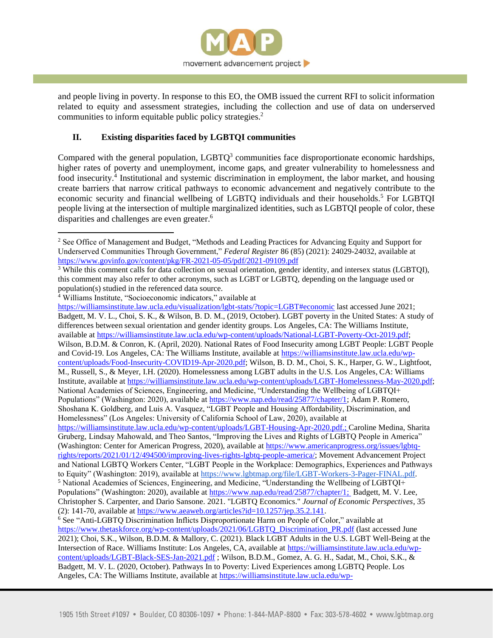

and people living in poverty. In response to this EO, the OMB issued the current RFI to solicit information related to equity and assessment strategies, including the collection and use of data on underserved communities to inform equitable public policy strategies.<sup>2</sup>

# **II. Existing disparities faced by LGBTQI communities**

Compared with the general population,  $LGBTQ<sup>3</sup>$  communities face disproportionate economic hardships, higher rates of poverty and unemployment, income gaps, and greater vulnerability to homelessness and food insecurity.<sup>4</sup> Institutional and systemic discrimination in employment, the labor market, and housing create barriers that narrow critical pathways to economic advancement and negatively contribute to the economic security and financial wellbeing of LGBTQ individuals and their households.<sup>5</sup> For LGBTQI people living at the intersection of multiple marginalized identities, such as LGBTQI people of color, these disparities and challenges are even greater.<sup>6</sup>

<https://williamsinstitute.law.ucla.edu/visualization/lgbt-stats/?topic=LGBT#economic> last accessed June 2021; Badgett, M. V. L., Choi, S. K., & Wilson, B. D. M., (2019, October). LGBT poverty in the United States: A study of differences between sexual orientation and gender identity groups. Los Angeles, CA: The Williams Institute, available a[t https://williamsinstitute.law.ucla.edu/wp-content/uploads/National-LGBT-Poverty-Oct-2019.pdf;](https://williamsinstitute.law.ucla.edu/wp-content/uploads/National-LGBT-Poverty-Oct-2019.pdf) Wilson, B.D.M. & Conron, K. (April, 2020). National Rates of Food Insecurity among LGBT People: LGBT People and Covid-19. Los Angeles, CA: The Williams Institute, available at [https://williamsinstitute.law.ucla.edu/wp](https://williamsinstitute.law.ucla.edu/wp-content/uploads/Food-Insecurity-COVID19-Apr-2020.pdf)[content/uploads/Food-Insecurity-COVID19-Apr-2020.pdf;](https://williamsinstitute.law.ucla.edu/wp-content/uploads/Food-Insecurity-COVID19-Apr-2020.pdf) Wilson, B. D. M., Choi, S. K., Harper, G. W., Lightfoot, M., Russell, S., & Meyer, I.H. (2020). Homelessness among LGBT adults in the U.S. Los Angeles, CA: Williams Institute, available at [https://williamsinstitute.law.ucla.edu/wp-content/uploads/LGBT-Homelessness-May-2020.pdf;](https://williamsinstitute.law.ucla.edu/wp-content/uploads/LGBT-Homelessness-May-2020.pdf) National Academies of Sciences, Engineering, and Medicine, "Understanding the Wellbeing of LGBTQI+ Populations" (Washington: 2020), available a[t https://www.nap.edu/read/25877/chapter/1;](https://www.nap.edu/read/25877/chapter/1) Adam P. Romero, Shoshana K. Goldberg, and Luis A. Vasquez, "LGBT People and Housing Affordability, Discrimination, and Homelessness" (Los Angeles: University of California School of Law, 2020), available at [https://williamsinstitute.law.ucla.edu/wp-content/uploads/LGBT-Housing-Apr-2020.pdf.;](https://williamsinstitute.law.ucla.edu/wp-content/uploads/LGBT-Housing-Apr-2020.pdf) Caroline Medina, Sharita Gruberg, Lindsay Mahowald, and Theo Santos, "Improving the Lives and Rights of LGBTQ People in America" (Washington: Center for American Progress, 2020), available at [https://www.americanprogress.org/issues/lgbtq](https://www.americanprogress.org/issues/lgbtq-rights/reports/2021/01/12/494500/improving-lives-rights-lgbtq-people-america/)[rights/reports/2021/01/12/494500/improving-lives-rights-lgbtq-people-america/;](https://www.americanprogress.org/issues/lgbtq-rights/reports/2021/01/12/494500/improving-lives-rights-lgbtq-people-america/) Movement Advancement Project and National LGBTQ Workers Center, "LGBT People in the Workplace: Demographics, Experiences and Pathways to Equity" (Washington: 2019), available at [https://www.lgbtmap.org/file/LGBT-Workers-3-Pager-FINAL.pdf.](https://www.lgbtmap.org/file/LGBT-Workers-3-Pager-FINAL.pdf) <sup>5</sup> National Academies of Sciences, Engineering, and Medicine, "Understanding the Wellbeing of LGBTQI+ Populations" (Washington: 2020), available a[t https://www.nap.edu/read/25877/chapter/1;](https://www.nap.edu/read/25877/chapter/1) Badgett, M. V. Lee, Christopher S. Carpenter, and Dario Sansone. 2021. "LGBTQ Economics." *Journal of Economic Perspectives*, 35 (2): 141-70, available at  $\frac{https://www.aeaweb.org/articles?id=10.1257/jep.35.2.141}{arep.257/jep.35.2.141}$ . <sup>6</sup> See "Anti-LGBTQ Discrimination Inflicts Disproportionate Harm on People of Color," available at https://www.thetaskforce.org/wp-content/uploads/2021/06/LGBTO\_Discrimination\_PR.pdf (last accessed June 2021); Choi, S.K., Wilson, B.D.M. & Mallory, C. (2021). Black LGBT Adults in the U.S. LGBT Well-Being at the Intersection of Race. Williams Institute: Los Angeles, CA, available at [https://williamsinstitute.law.ucla.edu/wp](https://williamsinstitute.law.ucla.edu/wp-content/uploads/LGBT-Black-SES-Jan-2021.pdf)[content/uploads/LGBT-Black-SES-Jan-2021.pdf](https://williamsinstitute.law.ucla.edu/wp-content/uploads/LGBT-Black-SES-Jan-2021.pdf) ; Wilson, B.D.M., Gomez, A. G. H., Sadat, M., Choi, S.K., & Badgett, M. V. L. (2020, October). Pathways In to Poverty: Lived Experiences among LGBTQ People. Los Angeles, CA: The Williams Institute, available at [https://williamsinstitute.law.ucla.edu/wp-](https://williamsinstitute.law.ucla.edu/wp-content/uploads/Pathways-Overview-Sep-2020.pdf)

<sup>&</sup>lt;sup>2</sup> See Office of Management and Budget, "Methods and Leading Practices for Advancing Equity and Support for Underserved Communities Through Government," *Federal Register* 86 (85) (2021): 24029-24032, available at <https://www.govinfo.gov/content/pkg/FR-2021-05-05/pdf/2021-09109.pdf>

<sup>&</sup>lt;sup>3</sup> While this comment calls for data collection on sexual orientation, gender identity, and intersex status (LGBTQI), this comment may also refer to other acronyms, such as LGBT or LGBTQ, depending on the language used or population(s) studied in the referenced data source.

<sup>4</sup> Williams Institute, "Socioeconomic indicators," available at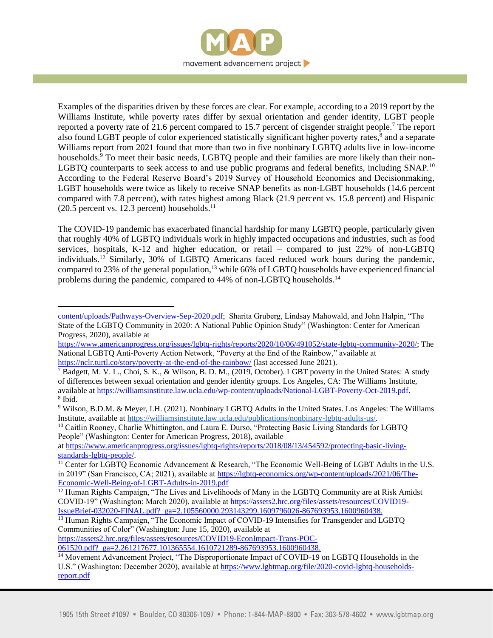

Examples of the disparities driven by these forces are clear. For example, according to a 2019 report by the Williams Institute, while poverty rates differ by sexual orientation and gender identity, LGBT people reported a poverty rate of 21.6 percent compared to 15.7 percent of cisgender straight people.<sup>7</sup> The report also found LGBT people of color experienced statistically significant higher poverty rates,<sup>8</sup> and a separate Williams report from 2021 found that more than two in five nonbinary LGBTQ adults live in low-income households.<sup>9</sup> To meet their basic needs, LGBTQ people and their families are more likely than their non-LGBTQ counterparts to seek access to and use public programs and federal benefits, including SNAP.<sup>10</sup> According to the Federal Reserve Board's 2019 Survey of Household Economics and Decisionmaking, LGBT households were twice as likely to receive SNAP benefits as non-LGBT households (14.6 percent compared with 7.8 percent), with rates highest among Black (21.9 percent vs. 15.8 percent) and Hispanic  $(20.5$  percent vs. 12.3 percent) households.<sup>11</sup>

The COVID-19 pandemic has exacerbated financial hardship for many LGBTQ people, particularly given that roughly 40% of LGBTQ individuals work in highly impacted occupations and industries, such as food services, hospitals, K-12 and higher education, or retail – compared to just 22% of non-LGBTQ individuals.<sup>12</sup> Similarly, 30% of LGBTQ Americans faced reduced work hours during the pandemic, compared to 23% of the general population,<sup>13</sup> while 66% of LGBTQ households have experienced financial problems during the pandemic, compared to 44% of non-LGBTQ households.<sup>14</sup>

[https://www.americanprogress.org/issues/lgbtq-rights/reports/2020/10/06/491052/state-lgbtq-community-2020/;](https://www.americanprogress.org/issues/lgbtq-rights/reports/2020/10/06/491052/state-lgbtq-community-2020/) The National LGBTQ Anti-Poverty Action Network, "Poverty at the End of the Rainbow," available at <https://nclr.turtl.co/story/poverty-at-the-end-of-the-rainbow/> (last accessed June 2021).

<sup>10</sup> Caitlin Rooney, Charlie Whittington, and Laura E. Durso, "Protecting Basic Living Standards for LGBTQ People" (Washington: Center for American Progress, 2018), available

at [https://www.americanprogress.org/issues/lgbtq-rights/reports/2018/08/13/454592/protecting-basic-living](https://www.americanprogress.org/issues/lgbtq-rights/reports/2018/08/13/454592/protecting-basic-living-standards-lgbtq-people/)[standards-lgbtq-people/.](https://www.americanprogress.org/issues/lgbtq-rights/reports/2018/08/13/454592/protecting-basic-living-standards-lgbtq-people/)

[https://assets2.hrc.org/files/assets/resources/COVID19-EconImpact-Trans-POC-](https://assets2.hrc.org/files/assets/resources/COVID19-EconImpact-Trans-POC-061520.pdf?_ga=2.261217677.101365554.1610721289-867693953.1600960438)061520.pdf? ga=2.261217677.101365554.1610721289-867693953.1600960438.

[content/uploads/Pathways-Overview-Sep-2020.pdf;](https://williamsinstitute.law.ucla.edu/wp-content/uploads/Pathways-Overview-Sep-2020.pdf) Sharita Gruberg, Lindsay Mahowald, and John Halpin, "The State of the LGBTQ Community in 2020: A National Public Opinion Study" (Washington: Center for American Progress, 2020), available at

 $^7$  Badgett, M. V. L., Choi, S. K., & Wilson, B. D. M., (2019, October). LGBT poverty in the United States: A study of differences between sexual orientation and gender identity groups. Los Angeles, CA: The Williams Institute, available a[t https://williamsinstitute.law.ucla.edu/wp-content/uploads/National-LGBT-Poverty-Oct-2019.pdf.](https://williamsinstitute.law.ucla.edu/wp-content/uploads/National-LGBT-Poverty-Oct-2019.pdf)  8 Ibid.

<sup>9</sup> Wilson, B.D.M. & Meyer, I.H. (2021). Nonbinary LGBTQ Adults in the United States. Los Angeles: The Williams Institute, available at [https://williamsinstitute.law.ucla.edu/publications/nonbinary-lgbtq-adults-us/.](https://williamsinstitute.law.ucla.edu/publications/nonbinary-lgbtq-adults-us/)

<sup>&</sup>lt;sup>11</sup> Center for LGBTQ Economic Advancement & Research, "The Economic Well-Being of LGBT Adults in the U.S. in 2019" (San Francisco, CA; 2021), available a[t https://lgbtq-economics.org/wp-content/uploads/2021/06/The-](https://lgbtq-economics.org/wp-content/uploads/2021/06/The-Economic-Well-Being-of-LGBT-Adults-in-2019.pdf)[Economic-Well-Being-of-LGBT-Adults-in-2019.pdf](https://lgbtq-economics.org/wp-content/uploads/2021/06/The-Economic-Well-Being-of-LGBT-Adults-in-2019.pdf)

<sup>&</sup>lt;sup>12</sup> Human Rights Campaign, "The Lives and Livelihoods of Many in the LGBTQ Community are at Risk Amidst COVID-19" (Washington: March 2020), available at [https://assets2.hrc.org/files/assets/resources/COVID19-](https://assets2.hrc.org/files/assets/resources/COVID19-IssueBrief-032020-FINAL.pdf?_ga=2.105560000.293143299.1609796026-867693953.1600960438) [IssueBrief-032020-FINAL.pdf?\\_ga=2.105560000.293143299.1609796026-867693953.1600960438.](https://assets2.hrc.org/files/assets/resources/COVID19-IssueBrief-032020-FINAL.pdf?_ga=2.105560000.293143299.1609796026-867693953.1600960438)

<sup>&</sup>lt;sup>13</sup> Human Rights Campaign, "The Economic Impact of COVID-19 Intensifies for Transgender and LGBTO Communities of Color" (Washington: June 15, 2020), available at

<sup>&</sup>lt;sup>14</sup> Movement Advancement Project, "The Disproportionate Impact of COVID-19 on LGBTQ Households in the U.S." (Washington: December 2020), available at [https://www.lgbtmap.org/file/2020-covid-lgbtq-households](https://www.lgbtmap.org/file/2020-covid-lgbtq-households-report.pdf)[report.pdf](https://www.lgbtmap.org/file/2020-covid-lgbtq-households-report.pdf)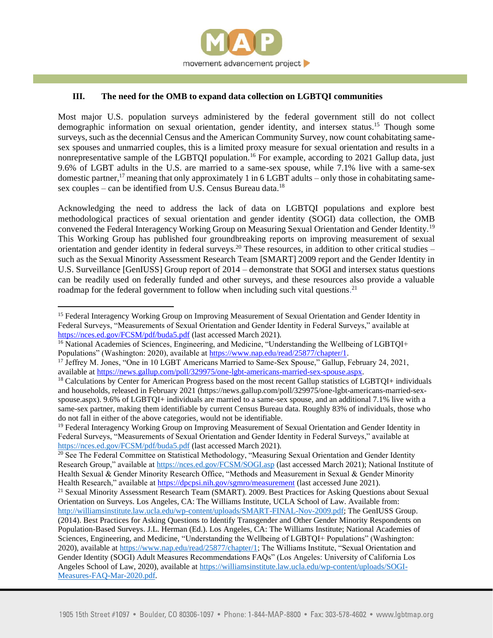

### **III. The need for the OMB to expand data collection on LGBTQI communities**

Most major U.S. population surveys administered by the federal government still do not collect demographic information on sexual orientation, gender identity, and intersex status.<sup>15</sup> Though some surveys, such as the decennial Census and the American Community Survey, now count cohabitating samesex spouses and unmarried couples, this is a limited proxy measure for sexual orientation and results in a nonrepresentative sample of the LGBTQI population.<sup>16</sup> For example, according to 2021 Gallup data, just 9.6% of LGBT adults in the U.S. are married to a same-sex spouse, while 7.1% live with a same-sex domestic partner,<sup>17</sup> meaning that only approximately 1 in 6 LGBT adults – only those in cohabitating samesex couples – can be identified from U.S. Census Bureau data.<sup>18</sup>

Acknowledging the need to address the lack of data on LGBTQI populations and explore best methodological practices of sexual orientation and gender identity (SOGI) data collection, the OMB convened the Federal Interagency Working Group on Measuring Sexual Orientation and Gender Identity.<sup>19</sup> This Working Group has published four groundbreaking reports on improving measurement of sexual orientation and gender identity in federal surveys.<sup>20</sup> These resources, in addition to other critical studies – such as the Sexual Minority Assessment Research Team [SMART] 2009 report and the Gender Identity in U.S. Surveillance [GenIUSS] Group report of 2014 – demonstrate that SOGI and intersex status questions can be readily used on federally funded and other surveys, and these resources also provide a valuable roadmap for the federal government to follow when including such vital questions.<sup>21</sup>

<sup>&</sup>lt;sup>15</sup> Federal Interagency Working Group on Improving Measurement of Sexual Orientation and Gender Identity in Federal Surveys, "Measurements of Sexual Orientation and Gender Identity in Federal Surveys," available at <https://nces.ed.gov/FCSM/pdf/buda5.pdf> (last accessed March 2021).

<sup>&</sup>lt;sup>16</sup> National Academies of Sciences, Engineering, and Medicine, "Understanding the Wellbeing of LGBTQI+ Populations" (Washington: 2020), available at [https://www.nap.edu/read/25877/chapter/1.](https://www.nap.edu/read/25877/chapter/1)

<sup>&</sup>lt;sup>17</sup> Jeffrey M. Jones, "One in 10 LGBT Americans Married to Same-Sex Spouse," Gallup, February 24, 2021, available a[t https://news.gallup.com/poll/329975/one-lgbt-americans-married-sex-spouse.aspx.](https://news.gallup.com/poll/329975/one-lgbt-americans-married-sex-spouse.aspx)

<sup>&</sup>lt;sup>18</sup> Calculations by Center for American Progress based on the most recent Gallup statistics of LGBTQI+ individuals and households, released in February 2021 (https://news.gallup.com/poll/329975/one-lgbt-americans-married-sexspouse.aspx). 9.6% of LGBTQI+ individuals are married to a same-sex spouse, and an additional 7.1% live with a same-sex partner, making them identifiable by current Census Bureau data. Roughly 83% of individuals, those who do not fall in either of the above categories, would not be identifiable.

<sup>&</sup>lt;sup>19</sup> Federal Interagency Working Group on Improving Measurement of Sexual Orientation and Gender Identity in Federal Surveys, "Measurements of Sexual Orientation and Gender Identity in Federal Surveys," available at <https://nces.ed.gov/FCSM/pdf/buda5.pdf> (last accessed March 2021).

<sup>&</sup>lt;sup>20</sup> See The Federal Committee on Statistical Methodology, "Measuring Sexual Orientation and Gender Identity Research Group," available a[t https://nces.ed.gov/FCSM/SOGI.asp](https://nces.ed.gov/FCSM/SOGI.asp) (last accessed March 2021); National Institute of Health Sexual & Gender Minority Research Office, "Methods and Measurement in Sexual & Gender Minority Health Research," available a[t https://dpcpsi.nih.gov/sgmro/measurement](https://dpcpsi.nih.gov/sgmro/measurement) (last accessed June 2021).

<sup>&</sup>lt;sup>21</sup> Sexual Minority Assessment Research Team (SMART). 2009. Best Practices for Asking Questions about Sexual Orientation on Surveys. Los Angeles, CA: The Williams Institute, UCLA School of Law. Available from: [http://williamsinstitute.law.ucla.edu/wp-content/uploads/SMART-FINAL-Nov-2009.pdf;](http://williamsinstitute.law.ucla.edu/wp-content/uploads/SMART-FINAL-Nov-2009.pdf) The GenIUSS Group.

<sup>(2014).</sup> Best Practices for Asking Questions to Identify Transgender and Other Gender Minority Respondents on Population-Based Surveys. J.L. Herman (Ed.). Los Angeles, CA: The Williams Institute; National Academies of Sciences, Engineering, and Medicine, "Understanding the Wellbeing of LGBTQI+ Populations" (Washington: 2020), available at [https://www.nap.edu/read/25877/chapter/1;](https://www.nap.edu/read/25877/chapter/1) The Williams Institute, "Sexual Orientation and Gender Identity (SOGI) Adult Measures Recommendations FAQs" (Los Angeles: University of California Los Angeles School of Law, 2020), available at [https://williamsinstitute.law.ucla.edu/wp-content/uploads/SOGI-](https://williamsinstitute.law.ucla.edu/wp-content/uploads/SOGI-Measures-FAQ-Mar-2020.pdf)[Measures-FAQ-Mar-2020.pdf.](https://williamsinstitute.law.ucla.edu/wp-content/uploads/SOGI-Measures-FAQ-Mar-2020.pdf)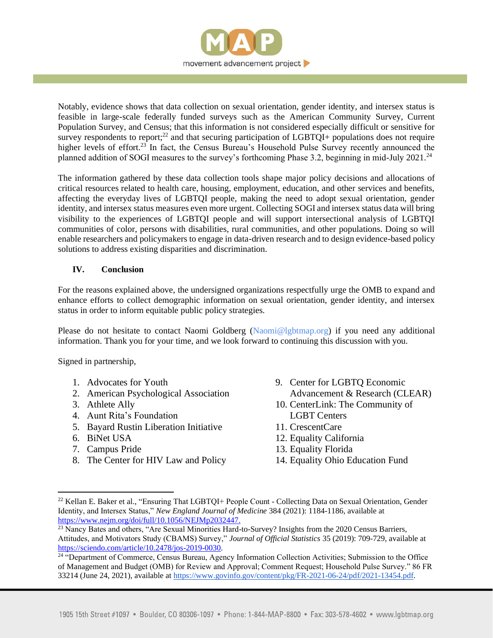

Notably, evidence shows that data collection on sexual orientation, gender identity, and intersex status is feasible in large-scale federally funded surveys such as the American Community Survey, Current Population Survey, and Census; that this information is not considered especially difficult or sensitive for survey respondents to report;<sup>22</sup> and that securing participation of LGBTQI+ populations does not require higher levels of effort.<sup>23</sup> In fact, the Census Bureau's Household Pulse Survey recently announced the planned addition of SOGI measures to the survey's forthcoming Phase 3.2, beginning in mid-July 2021.<sup>24</sup>

The information gathered by these data collection tools shape major policy decisions and allocations of critical resources related to health care, housing, employment, education, and other services and benefits, affecting the everyday lives of LGBTQI people, making the need to adopt sexual orientation, gender identity, and intersex status measures even more urgent. Collecting SOGI and intersex status data will bring visibility to the experiences of LGBTQI people and will support intersectional analysis of LGBTQI communities of color, persons with disabilities, rural communities, and other populations. Doing so will enable researchers and policymakers to engage in data-driven research and to design evidence-based policy solutions to address existing disparities and discrimination.

## **IV. Conclusion**

For the reasons explained above, the undersigned organizations respectfully urge the OMB to expand and enhance efforts to collect demographic information on sexual orientation, gender identity, and intersex status in order to inform equitable public policy strategies.

Please do not hesitate to contact Naomi Goldberg (Naomi@lgbtmap.org) if you need any additional information. Thank you for your time, and we look forward to continuing this discussion with you.

Signed in partnership,

- 1. Advocates for Youth
- 2. American Psychological Association
- 3. Athlete Ally
- 4. Aunt Rita's Foundation
- 5. Bayard Rustin Liberation Initiative
- 6. BiNet USA
- 7. Campus Pride
- 8. The Center for HIV Law and Policy
- 9. Center for LGBTQ Economic Advancement & Research (CLEAR)
- 10. CenterLink: The Community of LGBT Centers
- 11. CrescentCare
- 12. Equality California
- 13. Equality Florida
- 14. Equality Ohio Education Fund

<sup>&</sup>lt;sup>22</sup> Kellan E. Baker et al., "Ensuring That LGBTQI+ People Count - Collecting Data on Sexual Orientation, Gender Identity, and Intersex Status," *New England Journal of Medicine* 384 (2021): 1184-1186, available at [https://www.nejm.org/doi/full/10.1056/NEJMp2032447.](https://www.nejm.org/doi/full/10.1056/NEJMp2032447)

<sup>&</sup>lt;sup>23</sup> Nancy Bates and others, "Are Sexual Minorities Hard-to-Survey? Insights from the 2020 Census Barriers, Attitudes, and Motivators Study (CBAMS) Survey," *Journal of Official Statistics* 35 (2019): 709-729, available at [https://sciendo.com/article/10.2478/jos-2019-0030.](https://sciendo.com/article/10.2478/jos-2019-0030)

<sup>&</sup>lt;sup>24 "</sup>Department of Commerce, Census Bureau, Agency Information Collection Activities; Submission to the Office of Management and Budget (OMB) for Review and Approval; Comment Request; Household Pulse Survey." 86 FR 33214 (June 24, 2021), available at [https://www.govinfo.gov/content/pkg/FR-2021-06-24/pdf/2021-13454.pdf.](https://www.govinfo.gov/content/pkg/FR-2021-06-24/pdf/2021-13454.pdf)